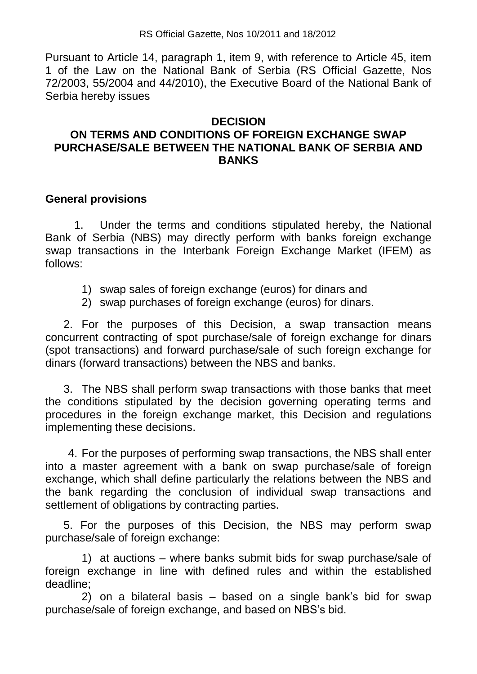Pursuant to Article 14, paragraph 1, item 9, with reference to Article 45, item 1 of the Law on the National Bank of Serbia (RS Official Gazette, Nos 72/2003, 55/2004 and 44/2010), the Executive Board of the National Bank of Serbia hereby issues

#### **DECISION**

# **ON TERMS AND CONDITIONS OF FOREIGN EXCHANGE SWAP PURCHASE/SALE BETWEEN THE NATIONAL BANK OF SERBIA AND BANKS**

### **General provisions**

1. Under the terms and conditions stipulated hereby, the National Bank of Serbia (NBS) may directly perform with banks foreign exchange swap transactions in the Interbank Foreign Exchange Market (IFEM) as follows:

- 1) swap sales of foreign exchange (euros) for dinars and
- 2) swap purchases of foreign exchange (euros) for dinars.

2. For the purposes of this Decision, a swap transaction means concurrent contracting of spot purchase/sale of foreign exchange for dinars (spot transactions) and forward purchase/sale of such foreign exchange for dinars (forward transactions) between the NBS and banks.

3. The NBS shall perform swap transactions with those banks that meet the conditions stipulated by the decision governing operating terms and procedures in the foreign exchange market, this Decision and regulations implementing these decisions.

4. For the purposes of performing swap transactions, the NBS shall enter into a master agreement with a bank on swap purchase/sale of foreign exchange, which shall define particularly the relations between the NBS and the bank regarding the conclusion of individual swap transactions and settlement of obligations by contracting parties.

 5. For the purposes of this Decision, the NBS may perform swap purchase/sale of foreign exchange:

 1) at auctions – where banks submit bids for swap purchase/sale of foreign exchange in line with defined rules and within the established deadline;

 2) on a bilateral basis – based on a single bank's bid for swap purchase/sale of foreign exchange, and based on NBS's bid.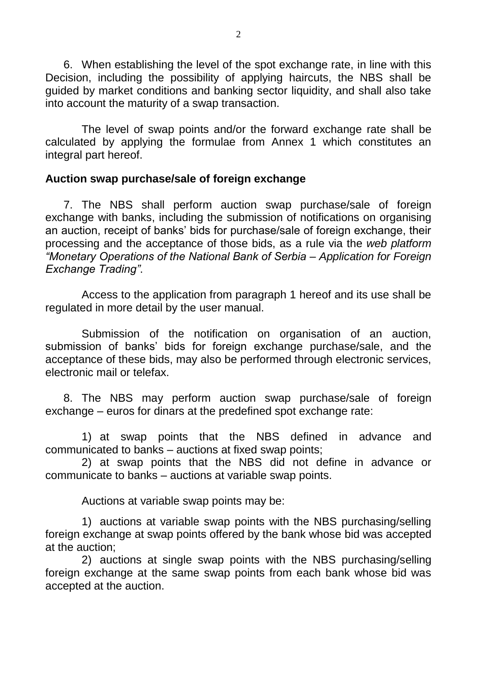6. When establishing the level of the spot exchange rate, in line with this Decision, including the possibility of applying haircuts, the NBS shall be guided by market conditions and banking sector liquidity, and shall also take into account the maturity of a swap transaction.

The level of swap points and/or the forward exchange rate shall be calculated by applying the formulae from Annex 1 which constitutes an integral part hereof.

## **Auction swap purchase/sale of foreign exchange**

7. The NBS shall perform auction swap purchase/sale of foreign exchange with banks, including the submission of notifications on organising an auction, receipt of banks' bids for purchase/sale of foreign exchange, their processing and the acceptance of those bids, as a rule via the *web platform "Monetary Operations of the National Bank of Serbia – Application for Foreign Exchange Trading"*.

Access to the application from paragraph 1 hereof and its use shall be regulated in more detail by the user manual.

Submission of the notification on organisation of an auction, submission of banks' bids for foreign exchange purchase/sale, and the acceptance of these bids, may also be performed through electronic services, electronic mail or telefax.

8. The NBS may perform auction swap purchase/sale of foreign exchange – euros for dinars at the predefined spot exchange rate:

1) at swap points that the NBS defined in advance and communicated to banks – auctions at fixed swap points;

2) at swap points that the NBS did not define in advance or communicate to banks – auctions at variable swap points.

Auctions at variable swap points may be:

1) auctions at variable swap points with the NBS purchasing/selling foreign exchange at swap points offered by the bank whose bid was accepted at the auction;

2) auctions at single swap points with the NBS purchasing/selling foreign exchange at the same swap points from each bank whose bid was accepted at the auction.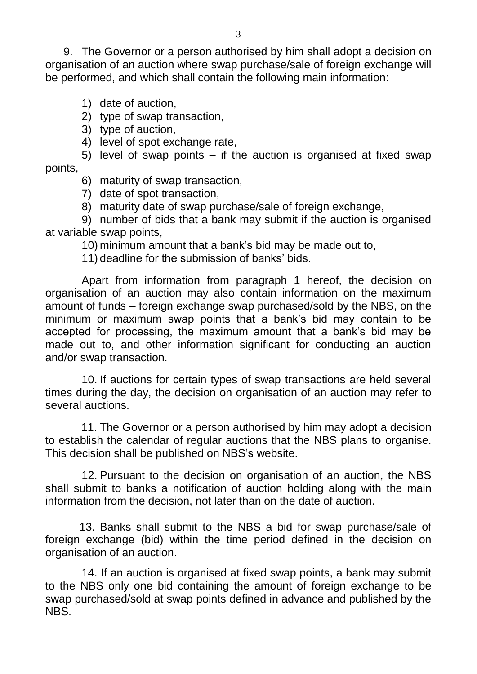9. The Governor or a person authorised by him shall adopt a decision on organisation of an auction where swap purchase/sale of foreign exchange will be performed, and which shall contain the following main information:

- 1) date of auction,
- 2) type of swap transaction,
- 3) type of auction,
- 4) level of spot exchange rate,

5) level of swap points – if the auction is organised at fixed swap points,

- 6) maturity of swap transaction,
- 7) date of spot transaction,
- 8) maturity date of swap purchase/sale of foreign exchange,

9) number of bids that a bank may submit if the auction is organised at variable swap points,

10) minimum amount that a bank's bid may be made out to,

11) deadline for the submission of banks' bids.

Apart from information from paragraph 1 hereof, the decision on organisation of an auction may also contain information on the maximum amount of funds – foreign exchange swap purchased/sold by the NBS, on the minimum or maximum swap points that a bank's bid may contain to be accepted for processing, the maximum amount that a bank's bid may be made out to, and other information significant for conducting an auction and/or swap transaction.

10. If auctions for certain types of swap transactions are held several times during the day, the decision on organisation of an auction may refer to several auctions.

11. The Governor or a person authorised by him may adopt a decision to establish the calendar of regular auctions that the NBS plans to organise. This decision shall be published on NBS's website.

12. Pursuant to the decision on organisation of an auction, the NBS shall submit to banks a notification of auction holding along with the main information from the decision, not later than on the date of auction.

13. Banks shall submit to the NBS a bid for swap purchase/sale of foreign exchange (bid) within the time period defined in the decision on organisation of an auction.

14. If an auction is organised at fixed swap points, a bank may submit to the NBS only one bid containing the amount of foreign exchange to be swap purchased/sold at swap points defined in advance and published by the NBS.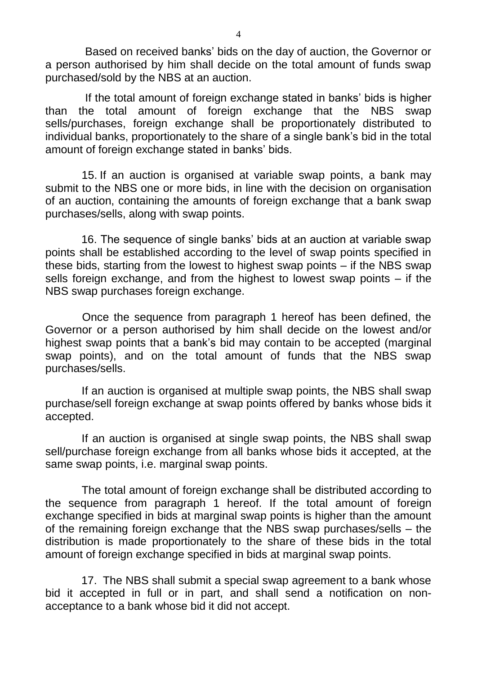Based on received banks' bids on the day of auction, the Governor or a person authorised by him shall decide on the total amount of funds swap purchased/sold by the NBS at an auction.

If the total amount of foreign exchange stated in banks' bids is higher than the total amount of foreign exchange that the NBS swap sells/purchases, foreign exchange shall be proportionately distributed to individual banks, proportionately to the share of a single bank's bid in the total amount of foreign exchange stated in banks' bids.

15. If an auction is organised at variable swap points, a bank may submit to the NBS one or more bids, in line with the decision on organisation of an auction, containing the amounts of foreign exchange that a bank swap purchases/sells, along with swap points.

16. The sequence of single banks' bids at an auction at variable swap points shall be established according to the level of swap points specified in these bids, starting from the lowest to highest swap points – if the NBS swap sells foreign exchange, and from the highest to lowest swap points – if the NBS swap purchases foreign exchange.

 Once the sequence from paragraph 1 hereof has been defined, the Governor or a person authorised by him shall decide on the lowest and/or highest swap points that a bank's bid may contain to be accepted (marginal swap points), and on the total amount of funds that the NBS swap purchases/sells.

If an auction is organised at multiple swap points, the NBS shall swap purchase/sell foreign exchange at swap points offered by banks whose bids it accepted.

If an auction is organised at single swap points, the NBS shall swap sell/purchase foreign exchange from all banks whose bids it accepted, at the same swap points, i.e. marginal swap points.

The total amount of foreign exchange shall be distributed according to the sequence from paragraph 1 hereof. If the total amount of foreign exchange specified in bids at marginal swap points is higher than the amount of the remaining foreign exchange that the NBS swap purchases/sells – the distribution is made proportionately to the share of these bids in the total amount of foreign exchange specified in bids at marginal swap points.

17. The NBS shall submit a special swap agreement to a bank whose bid it accepted in full or in part, and shall send a notification on nonacceptance to a bank whose bid it did not accept.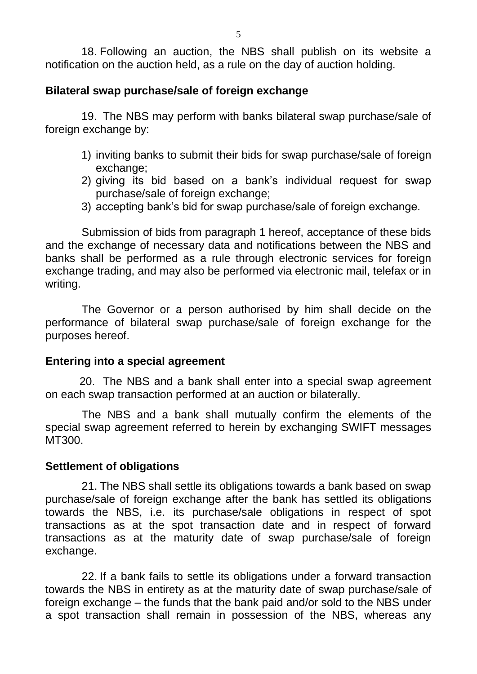18. Following an auction, the NBS shall publish on its website a notification on the auction held, as a rule on the day of auction holding.

### **Bilateral swap purchase/sale of foreign exchange**

19. The NBS may perform with banks bilateral swap purchase/sale of foreign exchange by:

- 1) inviting banks to submit their bids for swap purchase/sale of foreign exchange;
- 2) giving its bid based on a bank's individual request for swap purchase/sale of foreign exchange;
- 3) accepting bank's bid for swap purchase/sale of foreign exchange.

Submission of bids from paragraph 1 hereof, acceptance of these bids and the exchange of necessary data and notifications between the NBS and banks shall be performed as a rule through electronic services for foreign exchange trading, and may also be performed via electronic mail, telefax or in writing.

The Governor or a person authorised by him shall decide on the performance of bilateral swap purchase/sale of foreign exchange for the purposes hereof.

### **Entering into a special agreement**

20. The NBS and a bank shall enter into a special swap agreement on each swap transaction performed at an auction or bilaterally.

The NBS and a bank shall mutually confirm the elements of the special swap agreement referred to herein by exchanging SWIFT messages MT300.

#### **Settlement of obligations**

21. The NBS shall settle its obligations towards a bank based on swap purchase/sale of foreign exchange after the bank has settled its obligations towards the NBS, i.e. its purchase/sale obligations in respect of spot transactions as at the spot transaction date and in respect of forward transactions as at the maturity date of swap purchase/sale of foreign exchange.

22. If a bank fails to settle its obligations under a forward transaction towards the NBS in entirety as at the maturity date of swap purchase/sale of foreign exchange – the funds that the bank paid and/or sold to the NBS under a spot transaction shall remain in possession of the NBS, whereas any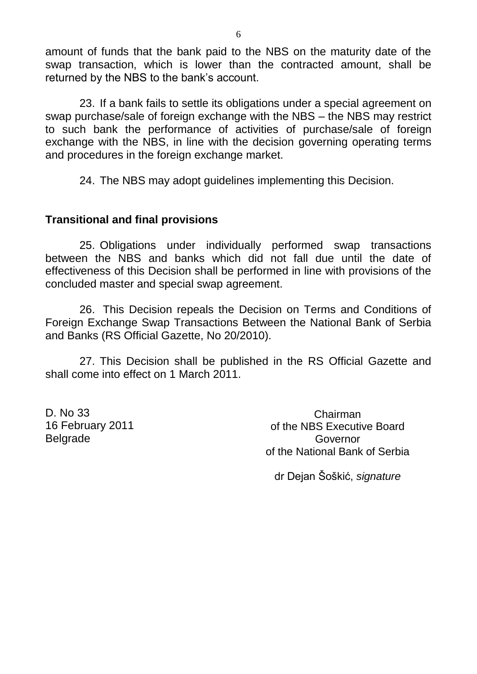amount of funds that the bank paid to the NBS on the maturity date of the swap transaction, which is lower than the contracted amount, shall be returned by the NBS to the bank's account.

23. If a bank fails to settle its obligations under a special agreement on swap purchase/sale of foreign exchange with the NBS – the NBS may restrict to such bank the performance of activities of purchase/sale of foreign exchange with the NBS, in line with the decision governing operating terms and procedures in the foreign exchange market.

24. The NBS may adopt guidelines implementing this Decision.

### **Transitional and final provisions**

25. Obligations under individually performed swap transactions between the NBS and banks which did not fall due until the date of effectiveness of this Decision shall be performed in line with provisions of the concluded master and special swap agreement.

26. This Decision repeals the Decision on Terms and Conditions of Foreign Exchange Swap Transactions Between the National Bank of Serbia and Banks (RS Official Gazette, No 20/2010).

27. This Decision shall be published in the RS Official Gazette and shall come into effect on 1 March 2011.

D. No 33 16 February 2011 Belgrade

Chairman of the NBS Executive Board Governor of the National Bank of Serbia

dr Dejan Šoškić, *signature*